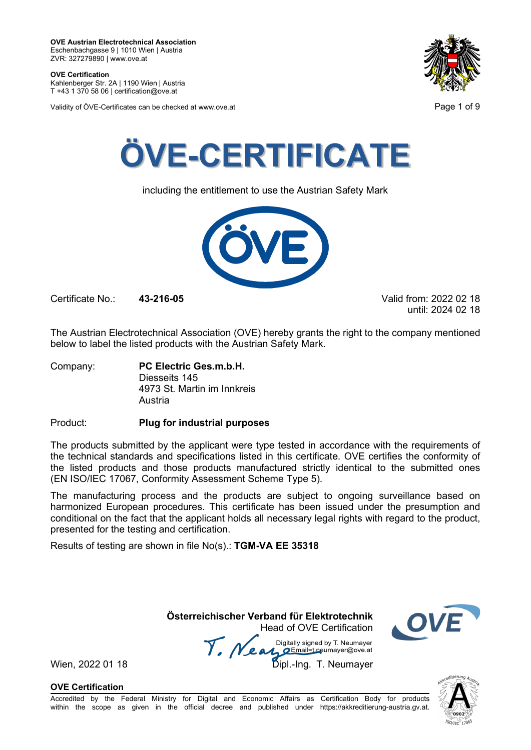**OVE Certification** Kahlenberger Str. 2A | 1190 Wien | Austria

T +43 1 370 58 06 | certification@ove.at

Validity of ÖVE-Certificates can be checked at www.ove.at **Page 1 of 9** Page 1 of 9





including the entitlement to use the Austrian Safety Mark



Certificate No.: **43-216-05** Valid from: 2022 02 18

until: 2024 02 18

The Austrian Electrotechnical Association (OVE) hereby grants the right to the company mentioned below to label the listed products with the Austrian Safety Mark.

Company: **PC Electric Ges.m.b.H.** Diesseits 145 4973 St. Martin im Innkreis Austria

Product: **Plug for industrial purposes**

The products submitted by the applicant were type tested in accordance with the requirements of the technical standards and specifications listed in this certificate. OVE certifies the conformity of the listed products and those products manufactured strictly identical to the submitted ones (EN ISO/IEC 17067, Conformity Assessment Scheme Type 5).

The manufacturing process and the products are subject to ongoing surveillance based on harmonized European procedures. This certificate has been issued under the presumption and conditional on the fact that the applicant holds all necessary legal rights with regard to the product, presented for the testing and certification.

Results of testing are shown in file No(s).: **TGM-VA EE 35318**

**Österreichischer Verband für Elektrotechnik**

Head of OVE Certification Wien, 2022 01 18 Mean Manus Signeu by Liveumayer<br>Wien, 2022 01 18 Dipl.-Ing. T. Neumayer



**OVE Certification**

Accredited by the Federal Ministry for Digital and Economic Affairs as Certification Body for products within the scope as given in the official decree and published under https://akkreditierung-austria.gv.at.

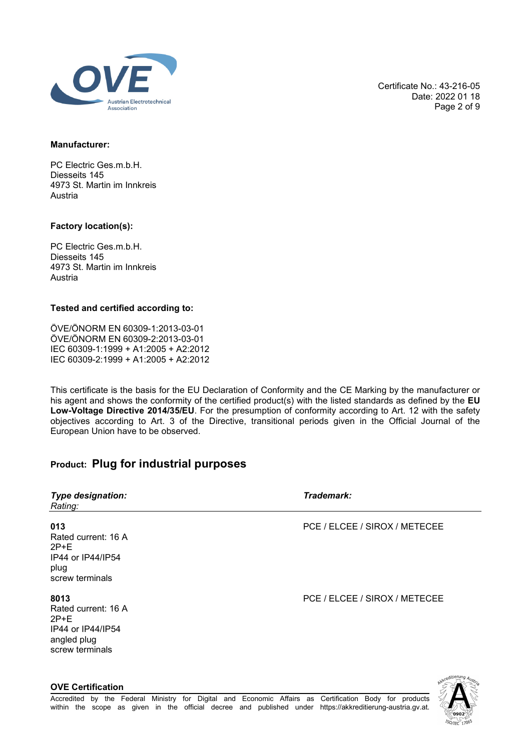

Certificate No.: 43-216-05 Date: 2022 01 18 Page 2 of 9

### **Manufacturer:**

PC Electric Ges.m.b.H. Diesseits 145 4973 St. Martin im Innkreis Austria

### **Factory location(s):**

**OVE Certification**

PC Electric Ges.m.b.H. Diesseits 145 4973 St. Martin im Innkreis Austria

### **Tested and certified according to:**

ÖVE/ÖNORM EN 60309-1:2013-03-01 ÖVE/ÖNORM EN 60309-2:2013-03-01 IEC 60309-1:1999 + A1:2005 + A2:2012 IEC 60309-2:1999 + A1:2005 + A2:2012

This certificate is the basis for the EU Declaration of Conformity and the CE Marking by the manufacturer or his agent and shows the conformity of the certified product(s) with the listed standards as defined by the **EU Low-Voltage Directive 2014/35/EU**. For the presumption of conformity according to Art. 12 with the safety objectives according to Art. 3 of the Directive, transitional periods given in the Official Journal of the European Union have to be observed.

# **Product: Plug for industrial purposes**

| <b>Type designation:</b><br>Rating:                                                          | Trademark:                    |
|----------------------------------------------------------------------------------------------|-------------------------------|
| 013<br>Rated current: 16 A<br>$2P+E$<br>IP44 or IP44/IP54<br>plug<br>screw terminals         | PCE / ELCEE / SIROX / METECEE |
| 8013<br>Rated current: 16 A<br>$2P+E$<br>IP44 or IP44/IP54<br>angled plug<br>screw terminals | PCE / ELCEE / SIROX / METECEE |

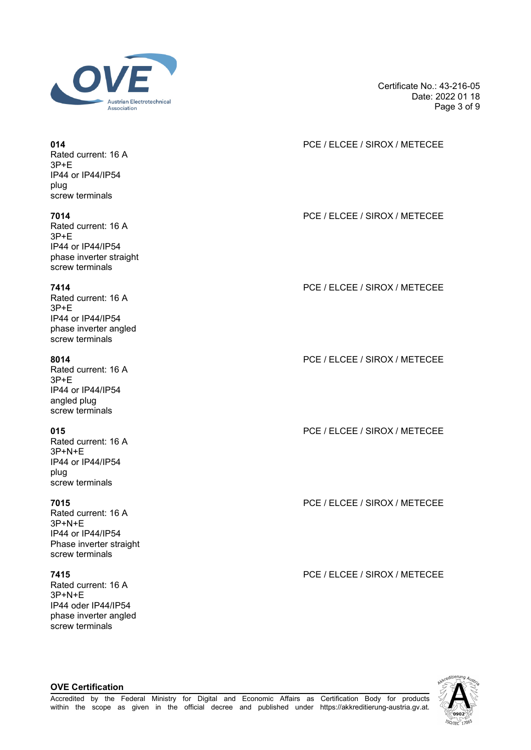

Rated current: 16 A 3P+E IP44 or IP44/IP54 plug screw terminals

Rated current: 16 A 3P+E IP44 or IP44/IP54 phase inverter straight screw terminals

Rated current: 16 A 3P+E IP44 or IP44/IP54 phase inverter angled screw terminals

Rated current: 16 A 3P+E IP44 or IP44/IP54 angled plug screw terminals

Rated current: 16 A 3P+N+E IP44 or IP44/IP54 plug screw terminals

Rated current: 16 A 3P+N+E IP44 or IP44/IP54 Phase inverter straight screw terminals

Rated current: 16 A 3P+N+E IP44 oder IP44/IP54 phase inverter angled screw terminals

**OVE Certification**

Certificate No.: 43-216-05 Date: 2022 01 18 Page 3 of 9

## **014** PCE / ELCEE / SIROX / METECEE

**7014** PCE / ELCEE / SIROX / METECEE

**7414** PCE / ELCEE / SIROX / METECEE

**8014** PCE / ELCEE / SIROX / METECEE

**015** PCE / ELCEE / SIROX / METECEE

**7015** PCE / ELCEE / SIROX / METECEE

**7415** PCE / ELCEE / SIROX / METECEE

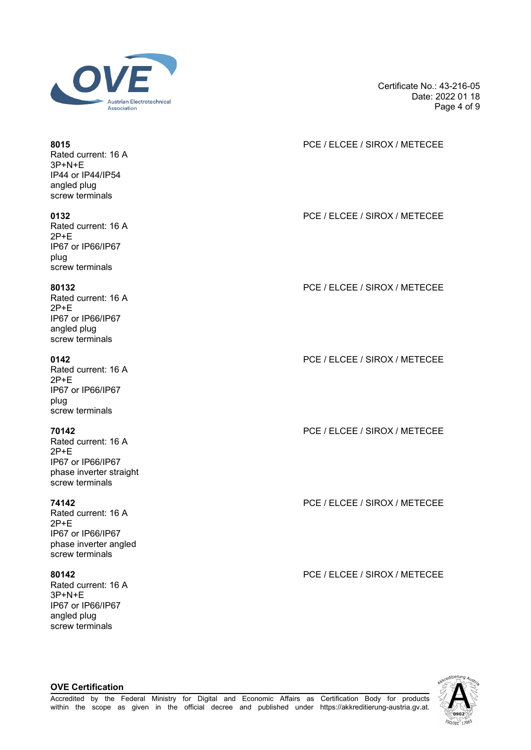

Rated current: 16 A 3P+N+E IP44 or IP44/IP54 angled plug screw terminals

Rated current: 16 A 2P+E IP67 or IP66/IP67 plug screw terminals

Rated current: 16 A 2P+E IP67 or IP66/IP67 angled plug screw terminals

Rated current: 16 A 2P+E IP67 or IP66/IP67 plug screw terminals

Rated current: 16 A 2P+E IP67 or IP66/IP67 phase inverter straight screw terminals

Rated current: 16 A 2P+E IP67 or IP66/IP67 phase inverter angled screw terminals

Rated current: 16 A 3P+N+E IP67 or IP66/IP67 angled plug screw terminals

**OVE Certification**

Certificate No.: 43-216-05 Date: 2022 01 18 Page 4 of 9

## **8015** PCE / ELCEE / SIROX / METECEE

**0132** PCE / ELCEE / SIROX / METECEE

**80132** PCE / ELCEE / SIROX / METECEE

**0142** PCE / ELCEE / SIROX / METECEE

**70142** PCE / ELCEE / SIROX / METECEE

**74142** PCE / ELCEE / SIROX / METECEE

**80142** PCE / ELCEE / SIROX / METECEE

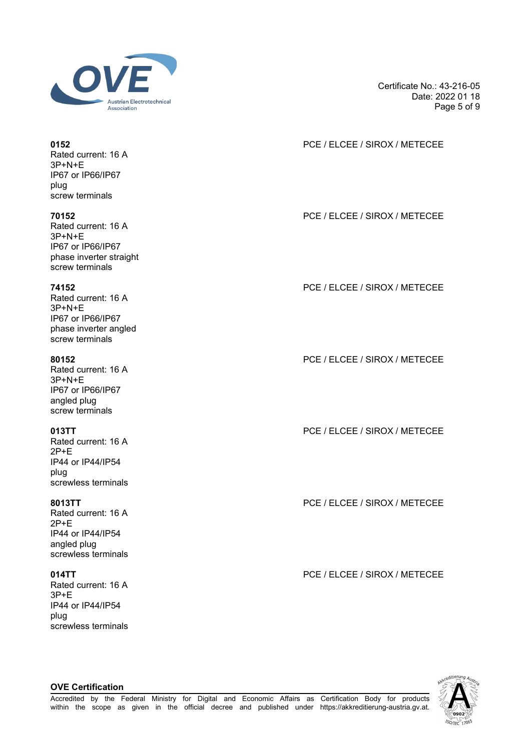

Rated current: 16 A 3P+N+E IP67 or IP66/IP67 plug screw terminals

Rated current: 16 A 3P+N+E IP67 or IP66/IP67 phase inverter straight screw terminals

Rated current: 16 A 3P+N+E IP67 or IP66/IP67 phase inverter angled screw terminals

Rated current: 16 A 3P+N+E IP67 or IP66/IP67 angled plug screw terminals

Rated current: 16 A 2P+E IP44 or IP44/IP54 plug screwless terminals

Rated current: 16 A 2P+E IP44 or IP44/IP54 angled plug screwless terminals

Rated current: 16 A 3P+E IP44 or IP44/IP54 plug screwless terminals

**OVE Certification**

Certificate No.: 43-216-05 Date: 2022 01 18 Page 5 of 9

## **0152** PCE / ELCEE / SIROX / METECEE

**70152** PCE / ELCEE / SIROX / METECEE

**74152** PCE / ELCEE / SIROX / METECEE

**80152** PCE / ELCEE / SIROX / METECEE

**013TT** PCE / ELCEE / SIROX / METECEE

**8013TT** PCE / ELCEE / SIROX / METECEE

**014TT** PCE / ELCEE / SIROX / METECEE

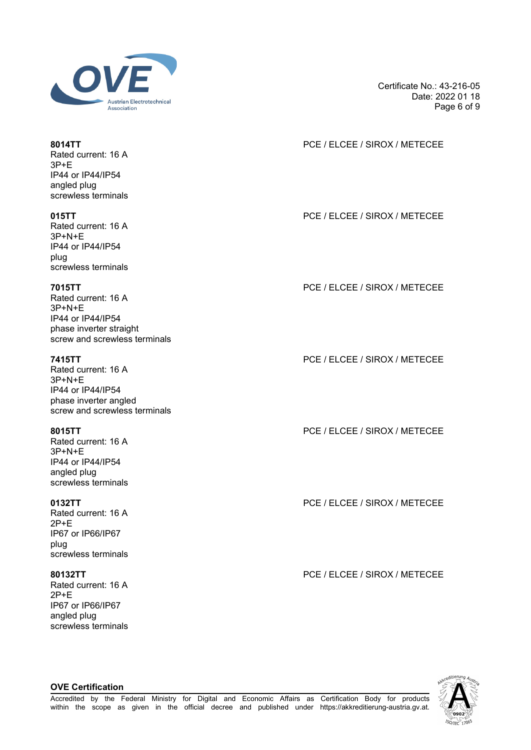

Rated current: 16 A 3P+E IP44 or IP44/IP54 angled plug screwless terminals

Rated current: 16 A 3P+N+E IP44 or IP44/IP54 plug screwless terminals

Rated current: 16 A 3P+N+E IP44 or IP44/IP54 phase inverter straight screw and screwless terminals

Rated current: 16 A 3P+N+E IP44 or IP44/IP54 phase inverter angled screw and screwless terminals

Rated current: 16 A 3P+N+E IP44 or IP44/IP54 angled plug screwless terminals

Rated current: 16 A 2P+E IP67 or IP66/IP67 plug screwless terminals

Rated current: 16 A 2P+E IP67 or IP66/IP67 angled plug screwless terminals

**OVE Certification**

Certificate No.: 43-216-05 Date: 2022 01 18 Page 6 of 9

## **8014TT** PCE / ELCEE / SIROX / METECEE

**015TT** PCE / ELCEE / SIROX / METECEE

**7015TT** PCE / ELCEE / SIROX / METECEE

**7415TT** PCE / ELCEE / SIROX / METECEE

**8015TT** PCE / ELCEE / SIROX / METECEE

**0132TT** PCE / ELCEE / SIROX / METECEE

**80132TT** PCE / ELCEE / SIROX / METECEE

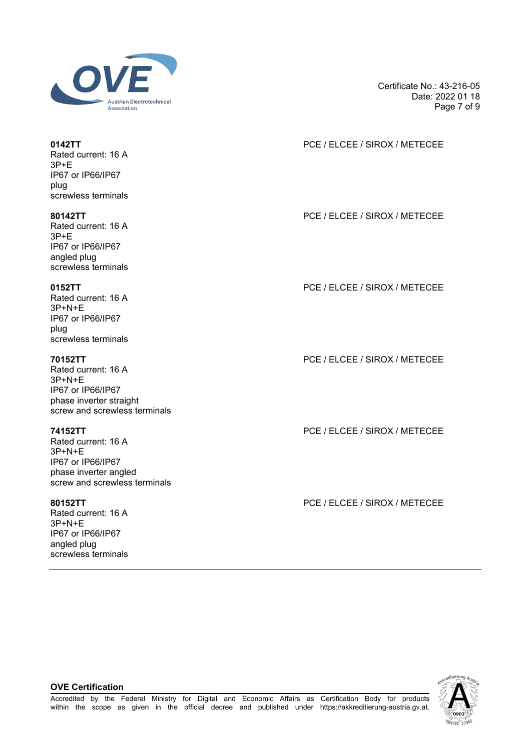

Rated current: 16 A 3P+E IP67 or IP66/IP67 plug screwless terminals

Rated current: 16 A 3P+E IP67 or IP66/IP67

angled plug screwless terminals

Rated current: 16 A 3P+N+E IP67 or IP66/IP67 plug screwless terminals

Rated current: 16 A 3P+N+E IP67 or IP66/IP67 phase inverter straight screw and screwless terminals

Rated current: 16 A 3P+N+E IP67 or IP66/IP67 phase inverter angled screw and screwless terminals

Rated current: 16 A 3P+N+E IP67 or IP66/IP67 angled plug screwless terminals Certificate No.: 43-216-05 Date: 2022 01 18 Page 7 of 9

**0142TT** PCE / ELCEE / SIROX / METECEE

**80142TT** PCE / ELCEE / SIROX / METECEE

**0152TT** PCE / ELCEE / SIROX / METECEE

**70152TT** PCE / ELCEE / SIROX / METECEE

**74152TT** PCE / ELCEE / SIROX / METECEE

**80152TT** PCE / ELCEE / SIROX / METECEE



### **OVE Certification**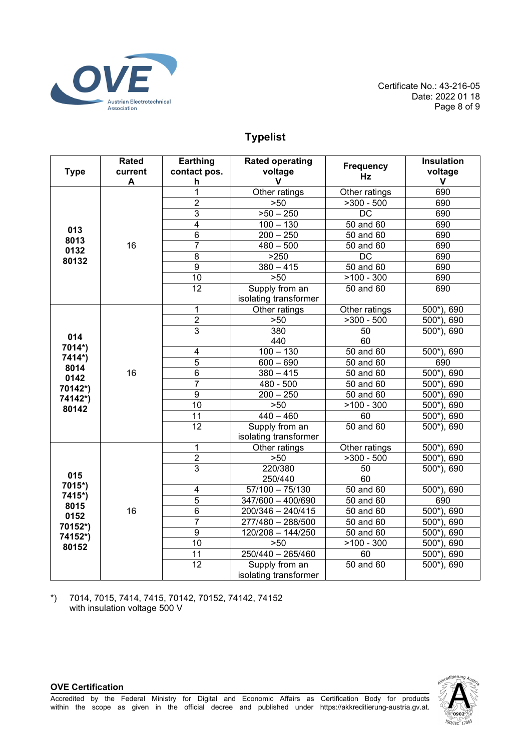

Certificate No.: 43-216-05 Date: 2022 01 18 Page 8 of 9

# **Typelist**

| <b>Type</b>                                 | Rated<br>current<br>A | Earthing<br>contact pos.<br>h | <b>Rated operating</b><br>voltage<br>V  | <b>Frequency</b><br>Hz | <b>Insulation</b><br>voltage<br>V |
|---------------------------------------------|-----------------------|-------------------------------|-----------------------------------------|------------------------|-----------------------------------|
| 013<br>8013<br>0132<br>80132                |                       | 1                             | Other ratings                           | Other ratings          | 690                               |
|                                             | 16                    | $\overline{2}$                | >50                                     | $>300 - 500$           | 690                               |
|                                             |                       | $\overline{3}$                | $>50 - 250$                             | <b>DC</b>              | 690                               |
|                                             |                       | 4                             | $100 - 130$                             | 50 and 60              | 690                               |
|                                             |                       | $\overline{6}$                | $200 - 250$                             | 50 and 60              | 690                               |
|                                             |                       | $\overline{7}$                | $480 - 500$                             | 50 and 60              | 690                               |
|                                             |                       | $\overline{8}$                | $>250$                                  | $\overline{DC}$        | 690                               |
|                                             |                       | $\overline{9}$                | $\frac{1}{380-415}$                     | 50 and 60              | 690                               |
|                                             |                       | $\overline{10}$               | >50                                     | $>100 - 300$           | 690                               |
|                                             |                       | $\overline{12}$               | Supply from an                          | 50 and 60              | 690                               |
|                                             |                       |                               | isolating transformer                   |                        |                                   |
|                                             |                       | 1                             | Other ratings                           | Other ratings          | $500$ <sup>*</sup> ), 690         |
|                                             |                       | $\overline{2}$                | >50                                     | $>300 - 500$           | $500$ <sup>*</sup> ), 690         |
| 014                                         | 16                    | $\overline{3}$                | 380                                     | 50                     | 500*), 690                        |
| 7014*)                                      |                       |                               | 440                                     | 60                     |                                   |
| 7414*)                                      |                       | 4                             | $100 - 130$                             | 50 and 60              | 500*), 690                        |
| 8014<br>0142<br>70142*)<br>74142*)<br>80142 |                       | 5                             | $600 - 690$                             | 50 and 60              | 690                               |
|                                             |                       | $6\phantom{1}$                | $380 - 415$                             | 50 and 60              | 500*), 690                        |
|                                             |                       | $\overline{7}$                | 480 - 500                               | 50 and 60              | $500*$<br>690                     |
|                                             |                       | $\overline{9}$                | $\overline{200} - 250$                  | 50 and 60              | $500*$<br>690                     |
|                                             |                       | $\overline{10}$               | $>50$                                   | $>100 - 300$           | 500*), 690                        |
|                                             |                       | 11                            | $440 - 460$                             | 60                     | 500*), 690                        |
|                                             |                       | $\overline{12}$               | Supply from an<br>isolating transformer | 50 and 60              | 500*), 690                        |
|                                             | 16                    | 1                             | Other ratings                           | Other ratings          | $500^*$ ), 690                    |
|                                             |                       | $\overline{2}$                | >50                                     | $>300 - 500$           | $500$ <sup>*</sup> ), 690         |
|                                             |                       | $\overline{3}$                | 220/380                                 | 50                     | 500*), 690                        |
| 015                                         |                       |                               | 250/440                                 | 60                     |                                   |
| 7015*)                                      |                       | 4                             | $57/100 - 75/130$                       | $50$ and $60$          | 500*), 690                        |
| 7415*)                                      |                       | $\overline{5}$                | 347/600 - 400/690                       | 50 and 60              | 690                               |
| 8015                                        |                       | 6                             | $200/346 - 240/415$                     | 50 and 60              | $\overline{500^*}$ , 690          |
| 0152                                        |                       | $\overline{7}$                | 277/480 - 288/500                       | 50 and 60              | $500$ <sup>*</sup> ).<br>690      |
| 70152*)<br>74152*)<br>80152                 |                       | $\overline{9}$                | $120/208 - 144/250$                     | 50 and 60              | $500^*$ ),<br>690                 |
|                                             |                       | $\overline{10}$               | >50                                     | $>100 - 300$           | $500*$ ).<br>690                  |
|                                             |                       | $\overline{11}$               | $250/440 - 265/460$                     | 60                     | $500^*$ ), 690                    |
|                                             |                       | 12                            | Supply from an                          | 50 and 60              | 500*), 690                        |
|                                             |                       |                               | isolating transformer                   |                        |                                   |

\*) 7014, 7015, 7414, 7415, 70142, 70152, 74142, 74152 with insulation voltage 500 V